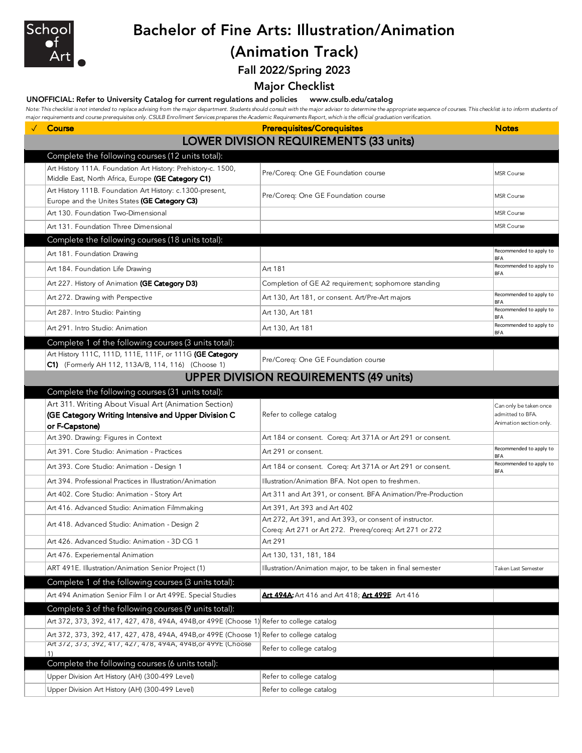

# Bachelor of Fine Arts: Illustration/Animation

### (Animation Track)

Fall 2022/Spring 2023

Major Checklist

#### UNOFFICIAL: Refer to University Catalog for current regulations and policies www.csulb.edu/catalog

Note: This checklist is not intended to replace advising from the major department. Students should consult with the major advisor to determine the appropriate sequence of courses. This checklist is to inform students of *major requirements and course prerequisites only. CSULB Enrollment Services prepares the Academic Requirements Report, which is the official graduation verification.*

| Course                                                                                                              | <b>Prerequisites/Corequisites</b>                                                                                   | <b>Notes</b>                          |  |  |  |
|---------------------------------------------------------------------------------------------------------------------|---------------------------------------------------------------------------------------------------------------------|---------------------------------------|--|--|--|
|                                                                                                                     | <b>LOWER DIVISION REQUIREMENTS (33 units)</b>                                                                       |                                       |  |  |  |
| Complete the following courses (12 units total):                                                                    |                                                                                                                     |                                       |  |  |  |
| Art History 111A. Foundation Art History: Prehistory-c. 1500,<br>Middle East, North Africa, Europe (GE Category C1) | Pre/Coreq: One GE Foundation course                                                                                 | MSR Course                            |  |  |  |
| Art History 111B. Foundation Art History: c.1300-present,<br>Europe and the Unites States (GE Category C3)          | Pre/Coreq: One GE Foundation course                                                                                 | <b>MSR Course</b>                     |  |  |  |
| Art 130. Foundation Two-Dimensional                                                                                 |                                                                                                                     | MSR Course                            |  |  |  |
| Art 131. Foundation Three Dimensional                                                                               |                                                                                                                     | MSR Course                            |  |  |  |
| Complete the following courses (18 units total):                                                                    |                                                                                                                     |                                       |  |  |  |
| Art 181. Foundation Drawing                                                                                         |                                                                                                                     | Recommended to apply to<br><b>BFA</b> |  |  |  |
| Art 184. Foundation Life Drawing                                                                                    | Art 181                                                                                                             | Recommended to apply to<br><b>BFA</b> |  |  |  |
| Art 227. History of Animation (GE Category D3)                                                                      | Completion of GE A2 requirement; sophomore standing                                                                 |                                       |  |  |  |
| Art 272. Drawing with Perspective                                                                                   | Art 130, Art 181, or consent. Art/Pre-Art majors                                                                    | Recommended to apply to<br><b>BFA</b> |  |  |  |
| Art 287. Intro Studio: Painting                                                                                     | Art 130, Art 181                                                                                                    | Recommended to apply to<br><b>BFA</b> |  |  |  |
| Art 291. Intro Studio: Animation                                                                                    | Art 130, Art 181                                                                                                    | Recommended to apply to<br>BFA        |  |  |  |
| Complete 1 of the following courses (3 units total):                                                                |                                                                                                                     |                                       |  |  |  |
| Art History 111C, 111D, 111E, 111F, or 111G (GE Category<br>C1) (Formerly AH 112, 113A/B, 114, 116) (Choose 1)      | Pre/Coreq: One GE Foundation course                                                                                 |                                       |  |  |  |
| <b>UPPER DIVISION REQUIREMENTS (49 units)</b>                                                                       |                                                                                                                     |                                       |  |  |  |
| Complete the following courses (31 units total):                                                                    |                                                                                                                     |                                       |  |  |  |
| Art 311. Writing About Visual Art (Animation Section)                                                               |                                                                                                                     | Can only be taken once                |  |  |  |
| (GE Category Writing Intensive and Upper Division C                                                                 | Refer to college catalog                                                                                            | admitted to BFA.                      |  |  |  |
| or F-Capstone)                                                                                                      |                                                                                                                     | Animation section only.               |  |  |  |
| Art 390. Drawing: Figures in Context                                                                                | Art 184 or consent. Coreq: Art 371A or Art 291 or consent.                                                          | Recommended to apply to               |  |  |  |
| Art 391. Core Studio: Animation - Practices                                                                         | Art 291 or consent.                                                                                                 | <b>BFA</b>                            |  |  |  |
| Art 393. Core Studio: Animation - Design 1                                                                          | Art 184 or consent. Coreq: Art 371A or Art 291 or consent.                                                          | Recommended to apply to<br><b>BFA</b> |  |  |  |
| Art 394. Professional Practices in Illustration/Animation                                                           | Illustration/Animation BFA. Not open to freshmen.                                                                   |                                       |  |  |  |
| Art 402. Core Studio: Animation - Story Art                                                                         | Art 311 and Art 391, or consent. BFA Animation/Pre-Production                                                       |                                       |  |  |  |
| Art 416. Advanced Studio: Animation Filmmaking                                                                      | Art 391, Art 393 and Art 402                                                                                        |                                       |  |  |  |
| Art 418. Advanced Studio: Animation - Design 2                                                                      | Art 272, Art 391, and Art 393, or consent of instructor.<br>Coreq: Art 271 or Art 272. Prereq/coreq: Art 271 or 272 |                                       |  |  |  |
| Art 426. Advanced Studio: Animation - 3D CG 1                                                                       | Art 291                                                                                                             |                                       |  |  |  |
| Art 476. Experiemental Animation                                                                                    | Art 130, 131, 181, 184                                                                                              |                                       |  |  |  |
| ART 491E. Illustration/Animation Senior Project (1)                                                                 | Illustration/Animation major, to be taken in final semester                                                         | Taken Last Semester                   |  |  |  |
| Complete 1 of the following courses (3 units total):                                                                |                                                                                                                     |                                       |  |  |  |
| Art 494 Animation Senior Film I or Art 499E. Special Studies                                                        | Art 494A: Art 416 and Art 418; Art 499E Art 416                                                                     |                                       |  |  |  |
| Complete 3 of the following courses (9 units total):                                                                |                                                                                                                     |                                       |  |  |  |
| Art 372, 373, 392, 417, 427, 478, 494A, 494B, or 499E (Choose 1) Refer to college catalog                           |                                                                                                                     |                                       |  |  |  |
| Art 372, 373, 392, 417, 427, 478, 494A, 494B, or 499E (Choose 1) Refer to college catalog                           |                                                                                                                     |                                       |  |  |  |
| Art 3/2, 3/3, 392, 41/, 42/, 4/8, 494A, 494B, or 499E (Choose<br>1)                                                 | Refer to college catalog                                                                                            |                                       |  |  |  |
| Complete the following courses (6 units total):                                                                     |                                                                                                                     |                                       |  |  |  |
| Upper Division Art History (AH) (300-499 Level)                                                                     | Refer to college catalog                                                                                            |                                       |  |  |  |
| Upper Division Art History (AH) (300-499 Level)                                                                     | Refer to college catalog                                                                                            |                                       |  |  |  |
|                                                                                                                     |                                                                                                                     |                                       |  |  |  |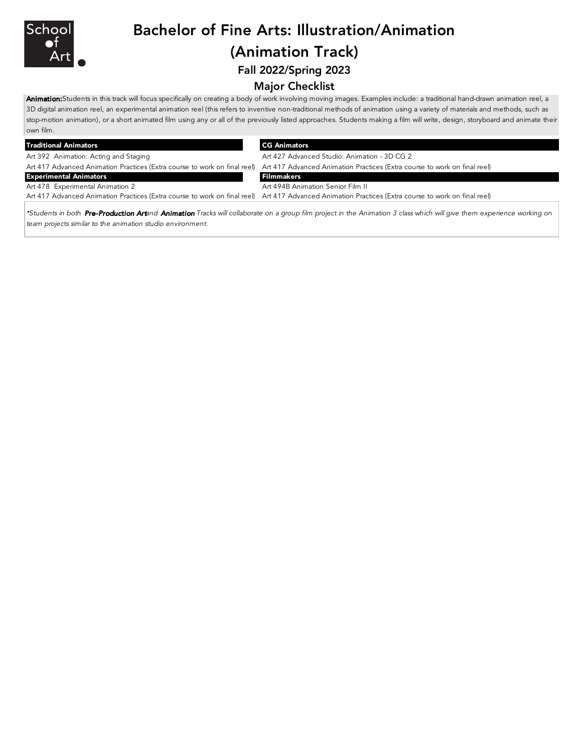

## Bachelor of Fine Arts: Illustration/Animation (Animation Track)

Fall 2022/Spring 2023

#### Major Checklist

Animation: Students in this track will focus specifically on creating a body of work involving moving images. Examples include: a traditional hand-drawn animation reel, a 3D digital animation reel, an experimental animation reel (this refers to inventive non-traditional methods of animation using a variety of materials and methods, such as stop-motion animation), or a short animated film using any or all of the previously listed approaches. Students making a film will write, design, storyboard and animate their own film.

| <b>Traditional Animators</b>          | <b>CG Animators</b>                                                                                                                                 |  |
|---------------------------------------|-----------------------------------------------------------------------------------------------------------------------------------------------------|--|
| Art 392 Animation: Acting and Staging | Art 427 Advanced Studio: Animation - 3D CG 2                                                                                                        |  |
|                                       | Art 417 Advanced Animation Practices (Extra course to work on final reel) Art 417 Advanced Animation Practices (Extra course to work on final reel) |  |
| <b>Experimental Animators</b>         | Filmmakers                                                                                                                                          |  |
| Art 478 Experimental Animation 2      | Art 494B Animation Senior Film II                                                                                                                   |  |
|                                       | Art 417 Advanced Animation Practices (Extra course to work on final reel) Art 417 Advanced Animation Practices (Extra course to work on final reel) |  |

\*Students in both Pre-Production Artand Animation Tracks will collaborate on a group film project in the Animation 3 class which will give them experience working on *team projects similar to the animation studio environment.*